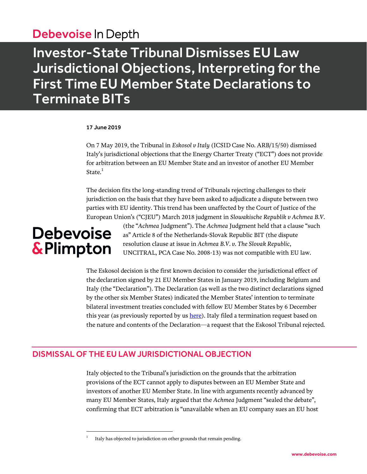### Debevoise In Depth

## Investor-State Tribunal Dismisses EU Law Jurisdictional Objections, Interpreting for the First Time EU Member State Declarations to Terminate BITs

#### 17 June 2019

On 7 May 2019, the Tribunal in *Eskosol v Italy* (ICSID Case No. ARB/15/50) dismissed Italy's jurisdictional objections that the Energy Charter Treaty ("ECT") does not provide for arbitration between an EU Member State and an investor of another EU Member State. $1$ 

The decision fits the long-standing trend of Tribunals rejecting challenges to their jurisdiction on the basis that they have been asked to adjudicate a dispute between two parties with EU identity. This trend has been unaffected by the Court of Justice of the European Union's ("CJEU") March 2018 judgment in *Slowakische Republik v Achmea B.V.*

# **Debevoise** & Plimpton

 $\overline{a}$ 1

(the "*Achmea* Judgment"). The *Achmea* Judgment held that a clause "such as" Article 8 of the Netherlands-Slovak Republic BIT (the dispute resolution clause at issue in *Achmea B.V. v. The Slovak Republic*, UNCITRAL, PCA Case No. 2008-13) was not compatible with EU law.

The Eskosol decision is the first known decision to consider the jurisdictional effect of the declaration signed by 21 EU Member States in January 2019, including Belgium and Italy (the "Declaration"). The Declaration (as well as the two distinct declarations signed by the other six Member States) indicated the Member States' intention to terminate bilateral investment treaties concluded with fellow EU Member States by 6 December this year (as previously reported by us [here\)](https://www.debevoise.com/-/media/files/insights/publications/2019/01/20190123_eu_member_states_issue_declarations_to_terminate_intra_eu_bilateral_investment_treaties.pdf). Italy filed a termination request based on the nature and contents of the Declaration—a request that the Eskosol Tribunal rejected.

### DISMISSAL OF THE EU LAW JURISDICTIONAL OBJECTION

Italy objected to the Tribunal's jurisdiction on the grounds that the arbitration provisions of the ECT cannot apply to disputes between an EU Member State and investors of another EU Member State. In line with arguments recently advanced by many EU Member States, Italy argued that the *Achmea* Judgment "sealed the debate", confirming that ECT arbitration is "unavailable when an EU company sues an EU host

Italy has objected to jurisdiction on other grounds that remain pending.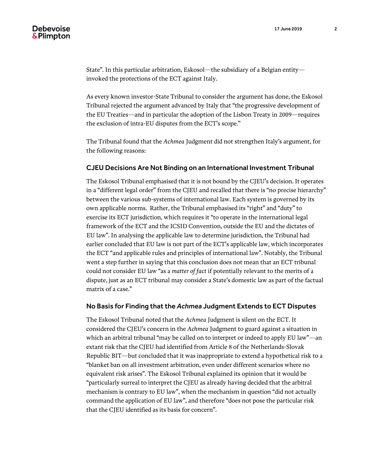State". In this particular arbitration, Eskosol—the subsidiary of a Belgian entity invoked the protections of the ECT against Italy.

As every known investor-State Tribunal to consider the argument has done, the Eskosol Tribunal rejected the argument advanced by Italy that "the progressive development of the EU Treaties—and in particular the adoption of the Lisbon Treaty in 2009—requires the exclusion of intra-EU disputes from the ECT's scope."

The Tribunal found that the *Achmea* Judgment did not strengthen Italy's argument, for the following reasons:

#### CJEU Decisions Are Not Binding on an International Investment Tribunal

The Eskosol Tribunal emphasised that it is not bound by the CJEU's decision. It operates in a "different legal order" from the CJEU and recalled that there is "no precise hierarchy" between the various sub-systems of international law. Each system is governed by its own applicable norms. Rather, the Tribunal emphasised its "right" and "duty" to exercise its ECT jurisdiction, which requires it "to operate in the international legal framework of the ECT and the ICSID Convention, outside the EU and the dictates of EU law". In analysing the applicable law to determine jurisdiction, the Tribunal had earlier concluded that EU law is not part of the ECT's applicable law, which incorporates the ECT "and applicable rules and principles of international law". Notably, the Tribunal went a step further in saying that this conclusion does not mean that an ECT tribunal could not consider EU law "as a *matter of fact* if potentially relevant to the merits of a dispute, just as an ECT tribunal may consider a State's domestic law as part of the factual matrix of a case."

#### No Basis for Finding that the *Achmea* Judgment Extends to ECT Disputes

The Eskosol Tribunal noted that the *Achmea* Judgment is silent on the ECT. It considered the CJEU's concern in the *Achmea* Judgment to guard against a situation in which an arbitral tribunal "may be called on to interpret or indeed to apply EU law"—an extant risk that the CJEU had identified from Article 8 of the Netherlands-Slovak Republic BIT—but concluded that it was inappropriate to extend a hypothetical risk to a "blanket ban on all investment arbitration, even under different scenarios where no equivalent risk arises". The Eskosol Tribunal explained its opinion that it would be "particularly surreal to interpret the CJEU as already having decided that the arbitral mechanism is contrary to EU law", when the mechanism in question "did not actually command the application of EU law", and therefore "does not pose the particular risk that the CJEU identified as its basis for concern".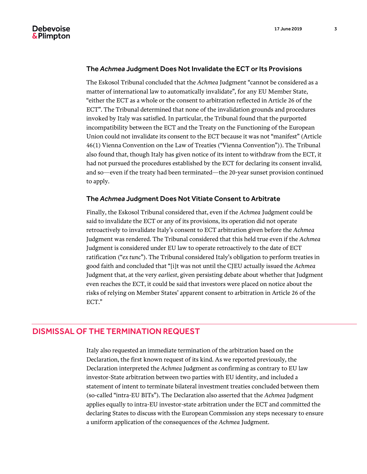#### The *Achmea* Judgment Does Not Invalidate the ECT or Its Provisions

The Eskosol Tribunal concluded that the *Achmea* Judgment "cannot be considered as a matter of international law to automatically invalidate", for any EU Member State, "either the ECT as a whole or the consent to arbitration reflected in Article 26 of the ECT". The Tribunal determined that none of the invalidation grounds and procedures invoked by Italy was satisfied. In particular, the Tribunal found that the purported incompatibility between the ECT and the Treaty on the Functioning of the European Union could not invalidate its consent to the ECT because it was not "manifest" (Article 46(1) Vienna Convention on the Law of Treaties ("Vienna Convention")). The Tribunal also found that, though Italy has given notice of its intent to withdraw from the ECT, it had not pursued the procedures established by the ECT for declaring its consent invalid, and so—even if the treaty had been terminated—the 20-year sunset provision continued to apply.

#### The *Achmea* Judgment Does Not Vitiate Consent to Arbitrate

Finally, the Eskosol Tribunal considered that, even if the *Achmea* Judgment could be said to invalidate the ECT or any of its provisions, its operation did not operate retroactively to invalidate Italy's consent to ECT arbitration given before the *Achmea* Judgment was rendered. The Tribunal considered that this held true even if the *Achmea* Judgment is considered under EU law to operate retroactively to the date of ECT ratification ("*ex tunc*"). The Tribunal considered Italy's obligation to perform treaties in good faith and concluded that "[i]t was not until the CJEU actually issued the *Achmea* Judgment that, at the very *earliest*, given persisting debate about whether that Judgment even reaches the ECT, it could be said that investors were placed on notice about the risks of relying on Member States' apparent consent to arbitration in Article 26 of the ECT."

#### DISMISSAL OF THE TERMINATION REQUEST

Italy also requested an immediate termination of the arbitration based on the Declaration, the first known request of its kind. As we reported previously, the Declaration interpreted the *Achmea* Judgment as confirming as contrary to EU law investor-State arbitration between two parties with EU identity, and included a statement of intent to terminate bilateral investment treaties concluded between them (so-called "intra-EU BITs"). The Declaration also asserted that the *Achmea* Judgment applies equally to intra-EU investor-state arbitration under the ECT and committed the declaring States to discuss with the European Commission any steps necessary to ensure a uniform application of the consequences of the *Achmea* Judgment.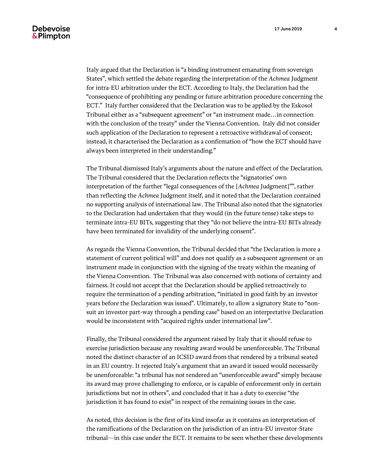Italy argued that the Declaration is "a binding instrument emanating from sovereign States", which settled the debate regarding the interpretation of the *Achmea* Judgment for intra-EU arbitration under the ECT. According to Italy, the Declaration had the "consequence of prohibiting any pending or future arbitration procedure concerning the ECT." Italy further considered that the Declaration was to be applied by the Eskosol Tribunal either as a "subsequent agreement" or "an instrument made…in connection with the conclusion of the treaty" under the Vienna Convention. Italy did not consider such application of the Declaration to represent a retroactive withdrawal of consent; instead, it characterised the Declaration as a confirmation of "how the ECT should have always been interpreted in their understanding."

The Tribunal dismissed Italy's arguments about the nature and effect of the Declaration. The Tribunal considered that the Declaration reflects the "signatories' own interpretation of the further "legal consequences of the [*Achmea* Judgment]"", rather than reflecting the *Achmea* Judgment itself, and it noted that the Declaration contained no supporting analysis of international law. The Tribunal also noted that the signatories to the Declaration had undertaken that they would (in the future tense) take steps to terminate intra-EU BITs, suggesting that they "do not believe the intra-EU BITs already have been terminated for invalidity of the underlying consent".

As regards the Vienna Convention, the Tribunal decided that "the Declaration is more a statement of current political will" and does not qualify as a subsequent agreement or an instrument made in conjunction with the signing of the treaty within the meaning of the Vienna Convention. The Tribunal was also concerned with notions of certainty and fairness. It could not accept that the Declaration should be applied retroactively to require the termination of a pending arbitration, "initiated in good faith by an investor years before the Declaration was issued". Ultimately, to allow a signatory State to "nonsuit an investor part-way through a pending case" based on an interpretative Declaration would be inconsistent with "acquired rights under international law".

Finally, the Tribunal considered the argument raised by Italy that it should refuse to exercise jurisdiction because any resulting award would be unenforceable. The Tribunal noted the distinct character of an ICSID award from that rendered by a tribunal seated in an EU country. It rejected Italy's argument that an award it issued would necessarily be unenforceable: "a tribunal has not rendered an "unenforceable award" simply because its award may prove challenging to enforce, or is capable of enforcement only in certain jurisdictions but not in others", and concluded that it has a duty to exercise "the jurisdiction it has found to exist" in respect of the remaining issues in the case.

As noted, this decision is the first of its kind insofar as it contains an interpretation of the ramifications of the Declaration on the jurisdiction of an intra-EU investor-State tribunal—in this case under the ECT. It remains to be seen whether these developments